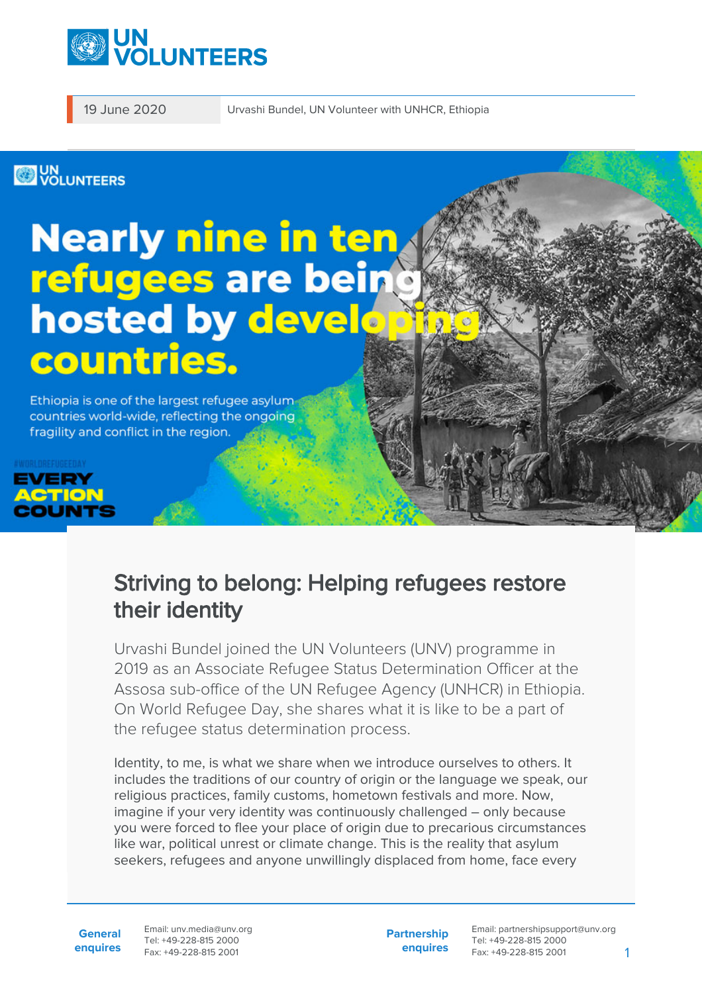

19 June 2020 Urvashi Bundel, UN Volunteer with UNHCR, Ethiopia

## **WOLUNTEERS**

# **Nearly nine in teng** refugees are being<br>hosted by develop countries.

Ethiopia is one of the largest refugee asylum countries world-wide, reflecting the ongoing fragility and conflict in the region.



## Striving to belong: Helping refugees restore their identity

Urvashi Bundel joined the UN Volunteers (UNV) programme in 2019 as an Associate Refugee Status Determination Officer at the Assosa sub-office of the UN Refugee Agency (UNHCR) in Ethiopia. On World Refugee Day, she shares what it is like to be a part of the refugee status determination process.

Identity, to me, is what we share when we introduce ourselves to others. It includes the traditions of our country of origin or the language we speak, our religious practices, family customs, hometown festivals and more. Now, imagine if your very identity was continuously challenged – only because you were forced to flee your place of origin due to precarious circumstances like war, political unrest or climate change. This is the reality that asylum seekers, refugees and anyone unwillingly displaced from home, face every

**General enquires** Email: unv.media@unv.org Tel: +49-228-815 2000 Fax: +49-228-815 2001

**Partnership enquires**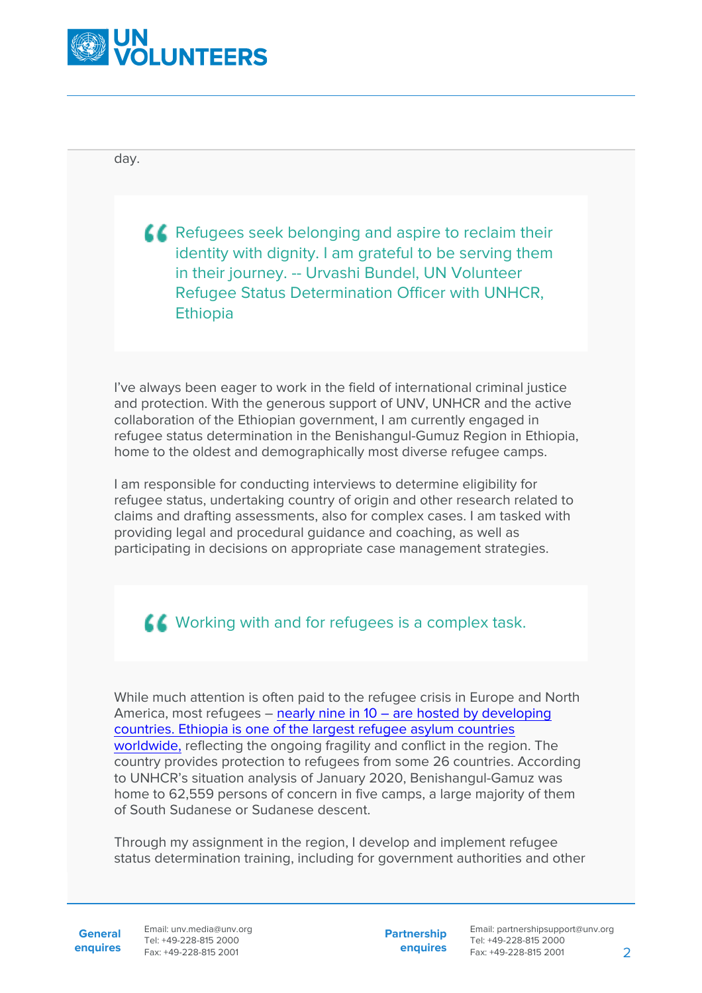

day.

**CO** Refugees seek belonging and aspire to reclaim their identity with dignity. I am grateful to be serving them in their journey. -- Urvashi Bundel, UN Volunteer Refugee Status Determination Officer with UNHCR, **Ethiopia** 

I've always been eager to work in the field of international criminal justice and protection. With the generous support of UNV, UNHCR and the active collaboration of the Ethiopian government, I am currently engaged in refugee status determination in the Benishangul-Gumuz Region in Ethiopia, home to the oldest and demographically most diverse refugee camps.

I am responsible for conducting interviews to determine eligibility for refugee status, undertaking country of origin and other research related to claims and drafting assessments, also for complex cases. I am tasked with providing legal and procedural guidance and coaching, as well as participating in decisions on appropriate case management strategies.

**K** Working with and for refugees is a complex task.

While much attention is often paid to the refugee crisis in Europe and North America, most refugees – [nearly nine in 10 – are hosted by developing](https://reliefweb.int/sites/reliefweb.int/files/resources/73571.pdf) [countries. Ethiopia is one of the largest refugee asylum countries](https://reliefweb.int/sites/reliefweb.int/files/resources/73571.pdf) [worldwide,](https://reliefweb.int/sites/reliefweb.int/files/resources/73571.pdf) reflecting the ongoing fragility and conflict in the region. The country provides protection to refugees from some 26 countries. According to UNHCR's situation analysis of January 2020, Benishangul-Gamuz was home to 62,559 persons of concern in five camps, a large majority of them of South Sudanese or Sudanese descent.

Through my assignment in the region, I develop and implement refugee status determination training, including for government authorities and other

**General**

**enquires** Fax: +49-228-815 2001 Email: unv.media@unv.org Tel: +49-228-815 2000

**Partnership enquires**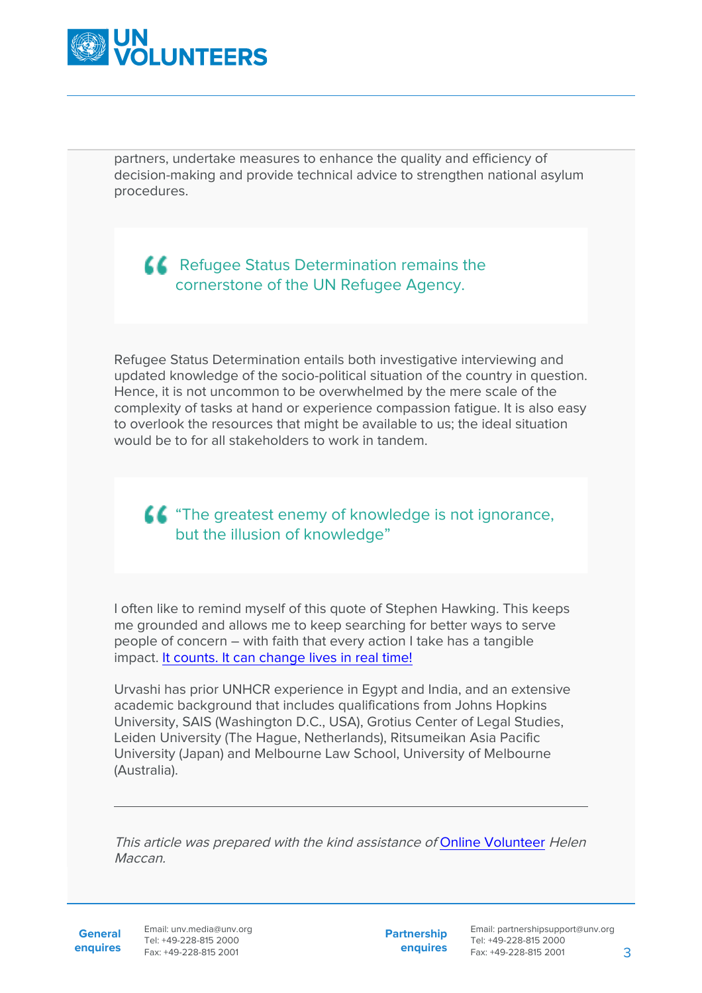

partners, undertake measures to enhance the quality and efficiency of decision-making and provide technical advice to strengthen national asylum procedures.

#### **C** Refugee Status Determination remains the cornerstone of the UN Refugee Agency.

Refugee Status Determination entails both investigative interviewing and updated knowledge of the socio-political situation of the country in question. Hence, it is not uncommon to be overwhelmed by the mere scale of the complexity of tasks at hand or experience compassion fatigue. It is also easy to overlook the resources that might be available to us; the ideal situation would be to for all stakeholders to work in tandem.

### **44** "The greatest enemy of knowledge is not ignorance, but the illusion of knowledge"

I often like to remind myself of this quote of Stephen Hawking. This keeps me grounded and allows me to keep searching for better ways to serve people of concern – with faith that every action I take has a tangible impact. [It counts. It can change lives in real time!](https://www.unhcr.org/world-refugee-day.html)

Urvashi has prior UNHCR experience in Egypt and India, and an extensive academic background that includes qualifications from Johns Hopkins University, SAIS (Washington D.C., USA), Grotius Center of Legal Studies, Leiden University (The Hague, Netherlands), Ritsumeikan Asia Pacific University (Japan) and Melbourne Law School, University of Melbourne (Australia).

This article was prepared with the kind assistance of [Online Volunteer](https://www.onlinevolunteering.org/en) Helen **Maccan** 

General Email: unv.media@unv.org **enquires** Tel: +49-228-815 2000 Fax: +49-228-815 2001

**Partnership enquires**